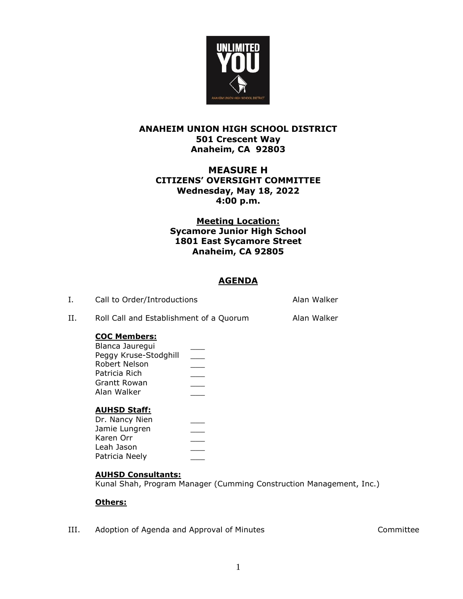

## **ANAHEIM UNION HIGH SCHOOL DISTRICT 501 Crescent Way Anaheim, CA 92803**

## **MEASURE H CITIZENS' OVERSIGHT COMMITTEE Wednesday, May 18, 2022 4:00 p.m.**

## **Meeting Location: Sycamore Junior High School 1801 East Sycamore Street Anaheim, CA 92805**

# **AGENDA**

| Call to Order/Introductions | Alan Walker |
|-----------------------------|-------------|
|                             |             |

II. Roll Call and Establishment of a Quorum Alan Walker

## **COC Members:**

| Blanca Jaurequi       |  |
|-----------------------|--|
| Peggy Kruse-Stodghill |  |
| Robert Nelson         |  |
| Patricia Rich         |  |
| Grantt Rowan          |  |
| Alan Walker           |  |
|                       |  |
|                       |  |

### **AUHSD Staff:**

| Dr. Nancy Nien |  |
|----------------|--|
| Jamie Lungren  |  |
| Karen Orr      |  |
| Leah Jason     |  |
| Patricia Neely |  |

### **AUHSD Consultants:**

Kunal Shah, Program Manager (Cumming Construction Management, Inc.)

### **Others:**

III. Adoption of Agenda and Approval of Minutes **Accord Account Committee**